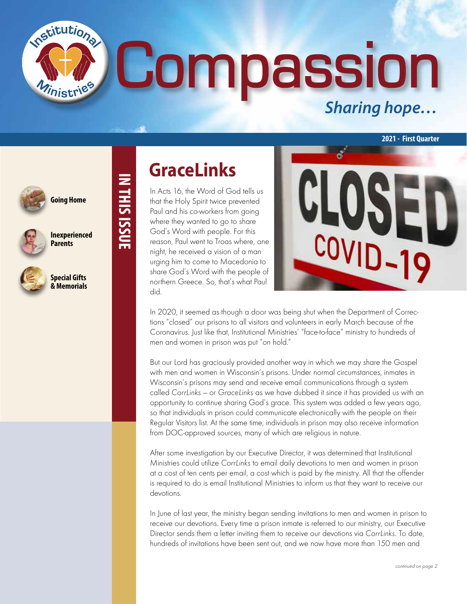**1assi** *Sharing hope…* 



**Going Home**

nstitutions

**IN THIS ISSUE**

**IN THIS ISSUE** 



**Inexperienced Parents**



**Special Gifts & Memorials**

### **GraceLinks**

In Acts 16, the Word of God tells us that the Holy Spirit twice prevented Paul and his co-workers from going where they wanted to go to share God's Word with people. For this reason, Paul went to Troas where, one night, he received a vision of a man urging him to come to Macedonia to share God's Word with the people of northern Greece. So, that's what Paul did.



**2021 - First Quarter**

In 2020, it seemed as though a door was being shut when the Department of Corrections "closed" our prisons to all visitors and volunteers in early March because of the Coronavirus. Just like that, Institutional Ministries' "face-to-face" ministry to hundreds of men and women in prison was put "on hold."

But our Lord has graciously provided another way in which we may share the Gospel with men and women in Wisconsin's prisons. Under normal circumstances, inmates in Wisconsin's prisons may send and receive email communications through a system called CorrLinks — or GraceLinks as we have dubbed it since it has provided us with an opportunity to continue sharing God's grace. This system was added a few years ago, so that individuals in prison could communicate electronically with the people on their Regular Visitors list. At the same time, individuals in prison may also receive information from DOC-approved sources, many of which are religious in nature.

After some investigation by our Executive Director, it was determined that Institutional Ministries could utilize CorrLinks to email daily devotions to men and women in prison at a cost of ten cents per email, a cost which is paid by the ministry. All that the offender is required to do is email Institutional Ministries to inform us that they want to receive our devotions.

In June of last year, the ministry began sending invitations to men and women in prison to receive our devotions. Every time a prison inmate is referred to our ministry, our Executive Director sends them a letter inviting them to receive our devotions via CorrLinks. To date, hundreds of invitations have been sent out, and we now have more than 150 men and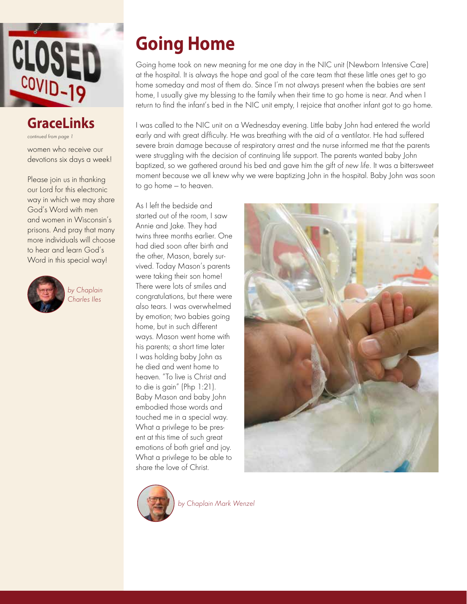

### **GraceLinks**

continued from page 1

women who receive our devotions six days a week!

Please join us in thanking our Lord for this electronic way in which we may share God's Word with men and women in Wisconsin's prisons. And pray that many more individuals will choose to hear and learn God's Word in this special way!



by Chaplain Charles Iles

# **Going Home**

Going home took on new meaning for me one day in the NIC unit (Newborn Intensive Care) at the hospital. It is always the hope and goal of the care team that these little ones get to go home someday and most of them do. Since I'm not always present when the babies are sent home, I usually give my blessing to the family when their time to go home is near. And when I return to find the infant's bed in the NIC unit empty, I rejoice that another infant got to go home.

I was called to the NIC unit on a Wednesday evening. Little baby John had entered the world early and with great difficulty. He was breathing with the aid of a ventilator. He had suffered severe brain damage because of respiratory arrest and the nurse informed me that the parents were struggling with the decision of continuing life support. The parents wanted baby John baptized, so we gathered around his bed and gave him the gift of new life. It was a bittersweet moment because we all knew why we were baptizing John in the hospital. Baby John was soon to go home — to heaven.

As I left the bedside and started out of the room, I saw Annie and Jake. They had twins three months earlier. One had died soon after birth and the other, Mason, barely survived. Today Mason's parents were taking their son home! There were lots of smiles and congratulations, but there were also tears. I was overwhelmed by emotion; two babies going home, but in such different ways. Mason went home with his parents; a short time later I was holding baby John as he died and went home to heaven. "To live is Christ and to die is gain" (Php 1:21). Baby Mason and baby John embodied those words and touched me in a special way. What a privilege to be present at this time of such great emotions of both grief and joy. What a privilege to be able to share the love of Christ.





by Chaplain Mark Wenzel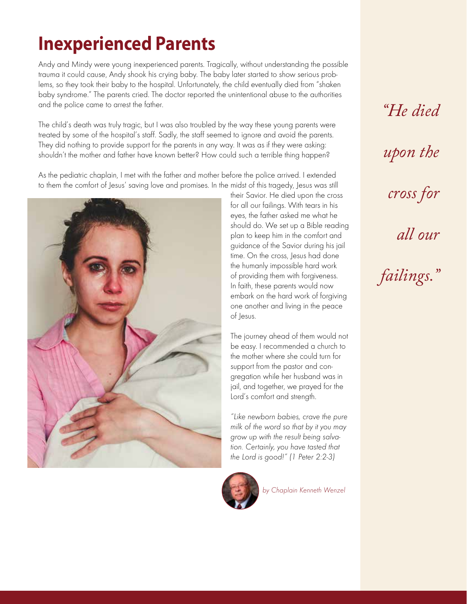## **Inexperienced Parents**

Andy and Mindy were young inexperienced parents. Tragically, without understanding the possible trauma it could cause, Andy shook his crying baby. The baby later started to show serious problems, so they took their baby to the hospital. Unfortunately, the child eventually died from "shaken baby syndrome." The parents cried. The doctor reported the unintentional abuse to the authorities and the police came to arrest the father.

The child's death was truly tragic, but I was also troubled by the way these young parents were treated by some of the hospital's staff. Sadly, the staff seemed to ignore and avoid the parents. They did nothing to provide support for the parents in any way. It was as if they were asking: shouldn't the mother and father have known better? How could such a terrible thing happen?

As the pediatric chaplain, I met with the father and mother before the police arrived. I extended to them the comfort of Jesus' saving love and promises. In the midst of this tragedy, Jesus was still



their Savior. He died upon the cross for all our failings. With tears in his eyes, the father asked me what he should do. We set up a Bible reading plan to keep him in the comfort and guidance of the Savior during his jail time. On the cross, Jesus had done the humanly impossible hard work of providing them with forgiveness. In faith, these parents would now embark on the hard work of forgiving one another and living in the peace of Jesus.

The journey ahead of them would not be easy. I recommended a church to the mother where she could turn for support from the pastor and congregation while her husband was in jail, and together, we prayed for the Lord's comfort and strength.

"Like newborn babies, crave the pure milk of the word so that by it you may grow up with the result being salvation. Certainly, you have tasted that the Lord is good!" (1 Peter 2:2-3)



by Chaplain Kenneth Wenzel

*"He died*

*upon the*

*cross for*

*all our* 

*failings."*